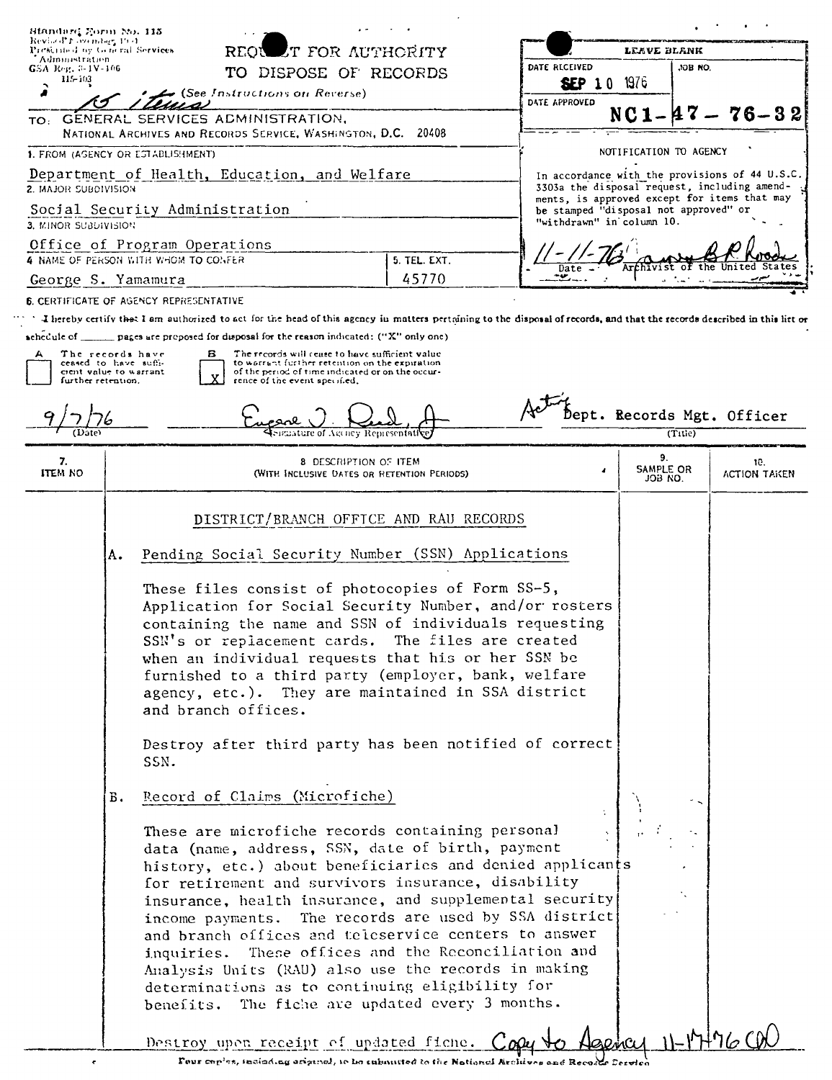| Revised to overdory 1991.<br>Administration | <b>IT FOR AUTHORITY</b><br>Prescribed by General Services<br>REON                          |                                                                                                                                                                                                                                                                                                                                                                                             | Leave Blank                                                                                                                                           |                                     |                                                                                                                                                |                     |
|---------------------------------------------|--------------------------------------------------------------------------------------------|---------------------------------------------------------------------------------------------------------------------------------------------------------------------------------------------------------------------------------------------------------------------------------------------------------------------------------------------------------------------------------------------|-------------------------------------------------------------------------------------------------------------------------------------------------------|-------------------------------------|------------------------------------------------------------------------------------------------------------------------------------------------|---------------------|
| GSA Reg. 3-1V-106<br>$11 - 103$             |                                                                                            |                                                                                                                                                                                                                                                                                                                                                                                             | TO DISPOSE OF RECORDS                                                                                                                                 | DATE RECEIVED                       | ,OB NO.                                                                                                                                        |                     |
|                                             |                                                                                            | (See Instructions on Reverse)                                                                                                                                                                                                                                                                                                                                                               |                                                                                                                                                       | <b>SEP 10 1976</b><br>DATE APPROVED |                                                                                                                                                |                     |
| TO:                                         |                                                                                            | GENERAL SERVICES ADMINISTRATION,                                                                                                                                                                                                                                                                                                                                                            |                                                                                                                                                       |                                     |                                                                                                                                                | $76 - 32$           |
|                                             |                                                                                            | NATIONAL ARCHIVES AND RECORDS SERVICE, WASHINGTON, D.C. 20408                                                                                                                                                                                                                                                                                                                               |                                                                                                                                                       |                                     |                                                                                                                                                |                     |
|                                             |                                                                                            | 1. FROM (AGENCY OR ESTABLISHMENT)                                                                                                                                                                                                                                                                                                                                                           |                                                                                                                                                       |                                     | NOTIFICATION TO AGENCY                                                                                                                         |                     |
| <b>2. MAJOR SUBDIVISION</b>                 |                                                                                            | Department of Health, Education, and Welfare                                                                                                                                                                                                                                                                                                                                                |                                                                                                                                                       |                                     | In accordance with the provisions of 44 U.S.C.<br>3303a the disposal request, including amend-<br>ments, is approved except for items that may |                     |
| 3. MINOR SUBDIVISION                        |                                                                                            | Social Security Administration                                                                                                                                                                                                                                                                                                                                                              |                                                                                                                                                       | "withdrawn" in column 10.           | be stamped "disposal not approved" or                                                                                                          |                     |
|                                             |                                                                                            | Office of Program Operations                                                                                                                                                                                                                                                                                                                                                                |                                                                                                                                                       |                                     |                                                                                                                                                |                     |
| George S. Yamamura                          |                                                                                            | 4 NAME OF PERSON WITH WHOM TO CONFER                                                                                                                                                                                                                                                                                                                                                        | 5. TEL. EXT.<br>45770                                                                                                                                 |                                     |                                                                                                                                                |                     |
|                                             |                                                                                            | <b>6. CERTIFICATE OF AGENCY REPRESENTATIVE</b>                                                                                                                                                                                                                                                                                                                                              |                                                                                                                                                       |                                     |                                                                                                                                                |                     |
|                                             |                                                                                            | I hereby certify that I am authorized to act for the head of this agency in matters pertaining to the disposal of records, and that the records described in this list or                                                                                                                                                                                                                   |                                                                                                                                                       |                                     |                                                                                                                                                |                     |
|                                             |                                                                                            | schedule of $\qquad \qquad$ pages are proposed for disposal for the reason indicated: ("X" only one)                                                                                                                                                                                                                                                                                        |                                                                                                                                                       |                                     |                                                                                                                                                |                     |
| А                                           | The records have<br>ceased to have suffi-<br>cient value to warrant.<br>further retention. | в<br>rence of the event specified,                                                                                                                                                                                                                                                                                                                                                          | The records will cease to have sufficient value<br>to warrant further retention on the expiration<br>of the period of time indicated or on the occur- |                                     |                                                                                                                                                |                     |
|                                             |                                                                                            |                                                                                                                                                                                                                                                                                                                                                                                             |                                                                                                                                                       |                                     | Dept. Records Mgt. Officer<br>(Title)                                                                                                          |                     |
| 7.<br>item no                               |                                                                                            |                                                                                                                                                                                                                                                                                                                                                                                             | 8 DESCRIPTION OF ITEM<br>(WITH INCLUSIVE DATES OR RETENTION PERIODS)                                                                                  |                                     | 9.<br>SAMPLE OR<br>JOB NO.                                                                                                                     | 10.<br>ACTION TAKEN |
|                                             |                                                                                            |                                                                                                                                                                                                                                                                                                                                                                                             | DISTRICT/BRANCH OFFICE AND RAU RECORDS                                                                                                                |                                     |                                                                                                                                                |                     |
|                                             | А.                                                                                         | Pending Social Security Number (SSN) Applications                                                                                                                                                                                                                                                                                                                                           |                                                                                                                                                       |                                     |                                                                                                                                                |                     |
|                                             |                                                                                            | These files consist of photocopies of Form SS-5,<br>Application for Social Security Number, and/or rosters<br>containing the name and SSN of individuals requesting<br>SSN's or replacement cards. The files are created<br>when an individual requests that his or her SSN be<br>furnished to a third party (employer, bank, welfare<br>agency, etc.). They are maintained in SSA district |                                                                                                                                                       |                                     |                                                                                                                                                |                     |
|                                             |                                                                                            | and branch offices.                                                                                                                                                                                                                                                                                                                                                                         |                                                                                                                                                       |                                     |                                                                                                                                                |                     |
|                                             |                                                                                            | Destroy after third party has been notified of correct<br>SSN.                                                                                                                                                                                                                                                                                                                              |                                                                                                                                                       |                                     |                                                                                                                                                |                     |
|                                             | Б.                                                                                         | Record of Claims (Microfiche)                                                                                                                                                                                                                                                                                                                                                               |                                                                                                                                                       |                                     |                                                                                                                                                |                     |

 $\tilde{\mathbf{r}}$ 

Four copies, including ariginal, is be enhancied to the National Archives and Recades Service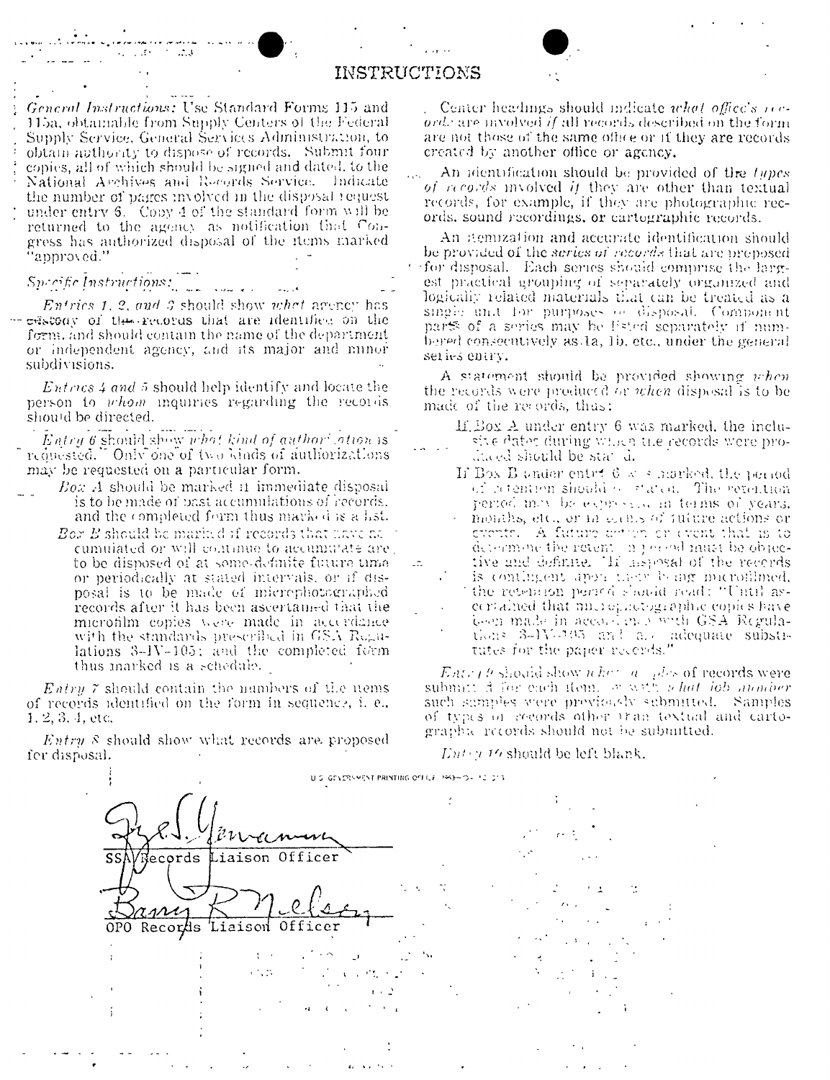#### INSTRUCTIONS

General Instructions: Use Standard Forms 115 and 115a, obtainable from Supply Centers of the Federal Supply Service, General Services Administration, to obtain authority to dispose of records. Submit four copies, all of which should be signed and dated, to the National Archives and Records Service. Indicate the number of pages involved in the disposal request under entry 6. Copy 4 of the standard form will be returned to the agency as notification that Congress has authorized disposal of the items marked 'approved.''

 $\sim$   $\sim$   $\sim$   $\sim$ 

## Specific Instructions:

Entries 1, 2, and 3 should show what agency has -- edstony of the records that are identified on the form, and should contain the name of the department or independent agency, and its major and minor subdivisions.

 $Entres 4$  and 5 should help identify and locate the person to whom inquiries regarding the records should be directed.

Entry 6 should show what kind of authorization is requested. Only one of two kinds of authorizations may be requested on a particular form.

- Box A should be marked it immediate disposal is to be made of past accumulations of records. and the completed form thus marked is a list.
	- Bor  $B$  should be marind if records that have as  $\mathbb R$ cumulated or will continue to accumulate are, to be disposed of at some-definite future time or periodically at stated intervals, or if disposal is to be made of microphotographed records after it has been ascertamed that the microfilm copies were made in accordance with the standards prescribed in GSA Regulations 3-IV-105; and the completed form thus marked is a schedule.

*Entry*  $\tilde{r}$  should contain the numbers of the nems of records identified on the form in sequence, i. e.,  $1, 2, 3, 4,$  etc.

*Entry*  $\delta$  should show what records are proposed fer disposal.

Center headings should indicate what office's neorde are myolved if all records described on the form are not those of the same office or if they are records created by another office or agency.

An identification should be provided of the types of records involved if they are other than textual records, for example, if they are photographic records, sound recordings, or cartographic records.

An itemization and accurate identification should be provided of the series of records that are proposed for disposal. Each series should comprise the largest practical grouping of separately organized and logically related materials that can be treated as a single unit for purposes or disposal. Component parts of a series may be Ested separately if numbered consecutively as 1a, 1b, etc., under the general series entry.

A statement should be provided showing when the records were produced or when disposal is to be made of the records, thus:

- If Box A under entry 6 was marked, the inclusive dator during which the records were prohaed should be stat d.
- If Box B under enter  $6 < s$  morked, the period of retention should be stated. The veterition period may be expressive in terms of years. months, etc., or m cause of future actions or events. A future action or event that is to<br>determine the retent in precediment be objective and definite. This assigns of the records is contingent apon their boarg microfilmed. the retenaton period should read: "Until ascertained that microphotographic copies have been made in accordingly with GSA Regulations 3-IV-105 and all adequate substitutes for the paper recends."

*Entry h* should show  $n \hbar c^2 / n - \rho \hbar s$  of records were submitted for each item. For with  $n \hbar a t / i \hbar b$  analogy such samples were previously submitted. Samples of types of records other tran textual and cartographic records should not be submitted.

#### $Ent(y, 16)$  should be left blank.

U.S. GEVERSMENT PRINTING OFFICE 1993-04 12, 213 Liaison Officer Records OPO Records 'Liaison Officer  $\mathbf{t}$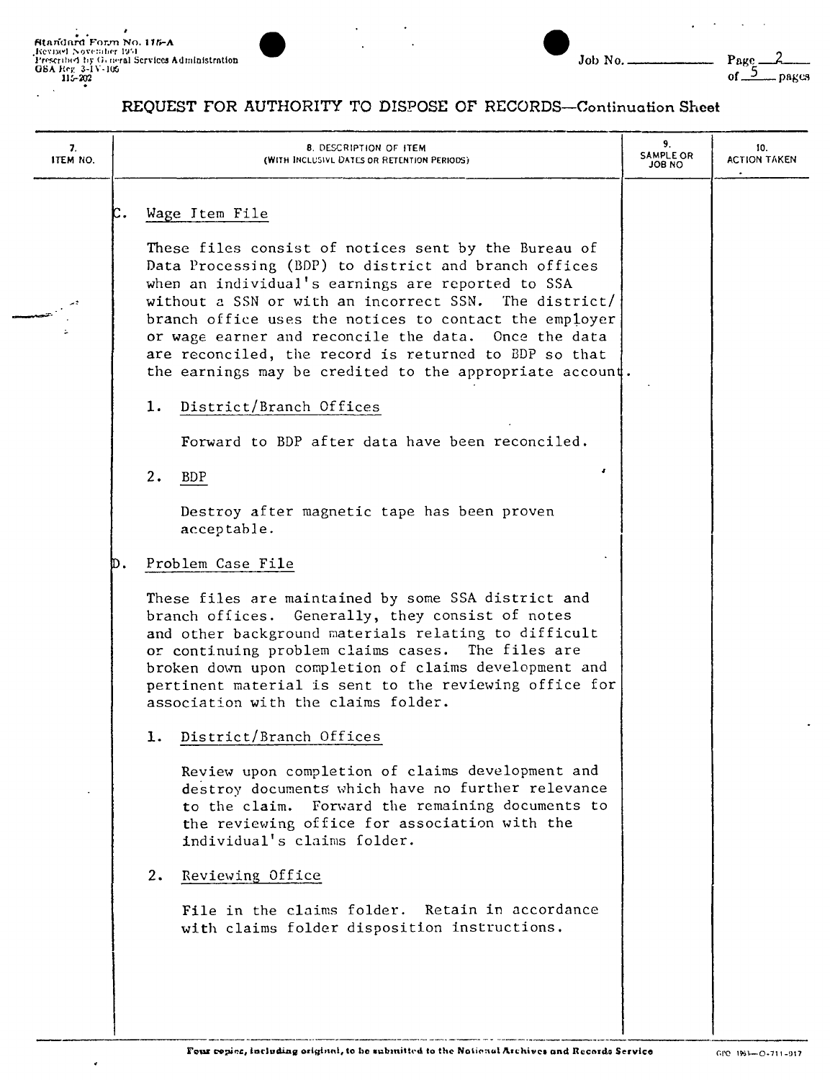ł



| I<br>۰,<br>× |  |  |
|--------------|--|--|

#### REQUEST FOR AUTHORITY TO DISPOSE OF RECORDS-Continuation Sheet

| c.<br>Wage Item File<br>These files consist of notices sent by the Bureau of<br>Data Processing (BDP) to district and branch offices<br>when an individual's earnings are reported to SSA<br>without a SSN or with an incorrect SSN. The district/<br>branch office uses the notices to contact the employer<br>or wage earner and reconcile the data. Once the data<br>are reconciled, the record is returned to BDP so that<br>the earnings may be credited to the appropriate account.<br>District/Branch Offices<br>1.<br>Forward to BDP after data have been reconciled.<br><b>s</b><br>2.<br><b>BDP</b><br>Destroy after magnetic tape has been proven<br>acceptable.<br>Problem Case File<br>D.<br>These files are maintained by some SSA district and<br>branch offices. Generally, they consist of notes<br>and other background materials relating to difficult<br>or continuing problem claims cases. The files are<br>broken down upon completion of claims development and<br>pertinent material is sent to the reviewing office for<br>association with the claims folder.<br>District/Branch Offices<br>ı.<br>Review upon completion of claims development and<br>destroy documents which have no further relevance<br>to the claim. Forward the remaining documents to<br>the reviewing office for association with the<br>individual's claims folder.<br>Reviewing Office<br>2.<br>File in the claims folder. Retain in accordance<br>with claims folder disposition instructions. | 7.<br>ITEM NO. | <b>8. DESCRIPTION OF ITEM</b><br>(WITH INCLUSIVE DATES OR RETENTION PERIODS) | 9.<br>SAMPLE OR<br>ON 8OL | 10.<br><b>ACTION TAKEN</b> |
|-----------------------------------------------------------------------------------------------------------------------------------------------------------------------------------------------------------------------------------------------------------------------------------------------------------------------------------------------------------------------------------------------------------------------------------------------------------------------------------------------------------------------------------------------------------------------------------------------------------------------------------------------------------------------------------------------------------------------------------------------------------------------------------------------------------------------------------------------------------------------------------------------------------------------------------------------------------------------------------------------------------------------------------------------------------------------------------------------------------------------------------------------------------------------------------------------------------------------------------------------------------------------------------------------------------------------------------------------------------------------------------------------------------------------------------------------------------------------------------------------------|----------------|------------------------------------------------------------------------------|---------------------------|----------------------------|
|                                                                                                                                                                                                                                                                                                                                                                                                                                                                                                                                                                                                                                                                                                                                                                                                                                                                                                                                                                                                                                                                                                                                                                                                                                                                                                                                                                                                                                                                                                     |                |                                                                              |                           |                            |
|                                                                                                                                                                                                                                                                                                                                                                                                                                                                                                                                                                                                                                                                                                                                                                                                                                                                                                                                                                                                                                                                                                                                                                                                                                                                                                                                                                                                                                                                                                     |                |                                                                              |                           |                            |
|                                                                                                                                                                                                                                                                                                                                                                                                                                                                                                                                                                                                                                                                                                                                                                                                                                                                                                                                                                                                                                                                                                                                                                                                                                                                                                                                                                                                                                                                                                     |                |                                                                              |                           |                            |
|                                                                                                                                                                                                                                                                                                                                                                                                                                                                                                                                                                                                                                                                                                                                                                                                                                                                                                                                                                                                                                                                                                                                                                                                                                                                                                                                                                                                                                                                                                     |                |                                                                              |                           |                            |
|                                                                                                                                                                                                                                                                                                                                                                                                                                                                                                                                                                                                                                                                                                                                                                                                                                                                                                                                                                                                                                                                                                                                                                                                                                                                                                                                                                                                                                                                                                     |                |                                                                              |                           |                            |
|                                                                                                                                                                                                                                                                                                                                                                                                                                                                                                                                                                                                                                                                                                                                                                                                                                                                                                                                                                                                                                                                                                                                                                                                                                                                                                                                                                                                                                                                                                     |                |                                                                              |                           |                            |
|                                                                                                                                                                                                                                                                                                                                                                                                                                                                                                                                                                                                                                                                                                                                                                                                                                                                                                                                                                                                                                                                                                                                                                                                                                                                                                                                                                                                                                                                                                     |                |                                                                              |                           |                            |
|                                                                                                                                                                                                                                                                                                                                                                                                                                                                                                                                                                                                                                                                                                                                                                                                                                                                                                                                                                                                                                                                                                                                                                                                                                                                                                                                                                                                                                                                                                     |                |                                                                              |                           |                            |
|                                                                                                                                                                                                                                                                                                                                                                                                                                                                                                                                                                                                                                                                                                                                                                                                                                                                                                                                                                                                                                                                                                                                                                                                                                                                                                                                                                                                                                                                                                     |                |                                                                              |                           |                            |
|                                                                                                                                                                                                                                                                                                                                                                                                                                                                                                                                                                                                                                                                                                                                                                                                                                                                                                                                                                                                                                                                                                                                                                                                                                                                                                                                                                                                                                                                                                     |                |                                                                              |                           |                            |
|                                                                                                                                                                                                                                                                                                                                                                                                                                                                                                                                                                                                                                                                                                                                                                                                                                                                                                                                                                                                                                                                                                                                                                                                                                                                                                                                                                                                                                                                                                     |                |                                                                              |                           |                            |
|                                                                                                                                                                                                                                                                                                                                                                                                                                                                                                                                                                                                                                                                                                                                                                                                                                                                                                                                                                                                                                                                                                                                                                                                                                                                                                                                                                                                                                                                                                     |                |                                                                              |                           |                            |
|                                                                                                                                                                                                                                                                                                                                                                                                                                                                                                                                                                                                                                                                                                                                                                                                                                                                                                                                                                                                                                                                                                                                                                                                                                                                                                                                                                                                                                                                                                     |                |                                                                              |                           |                            |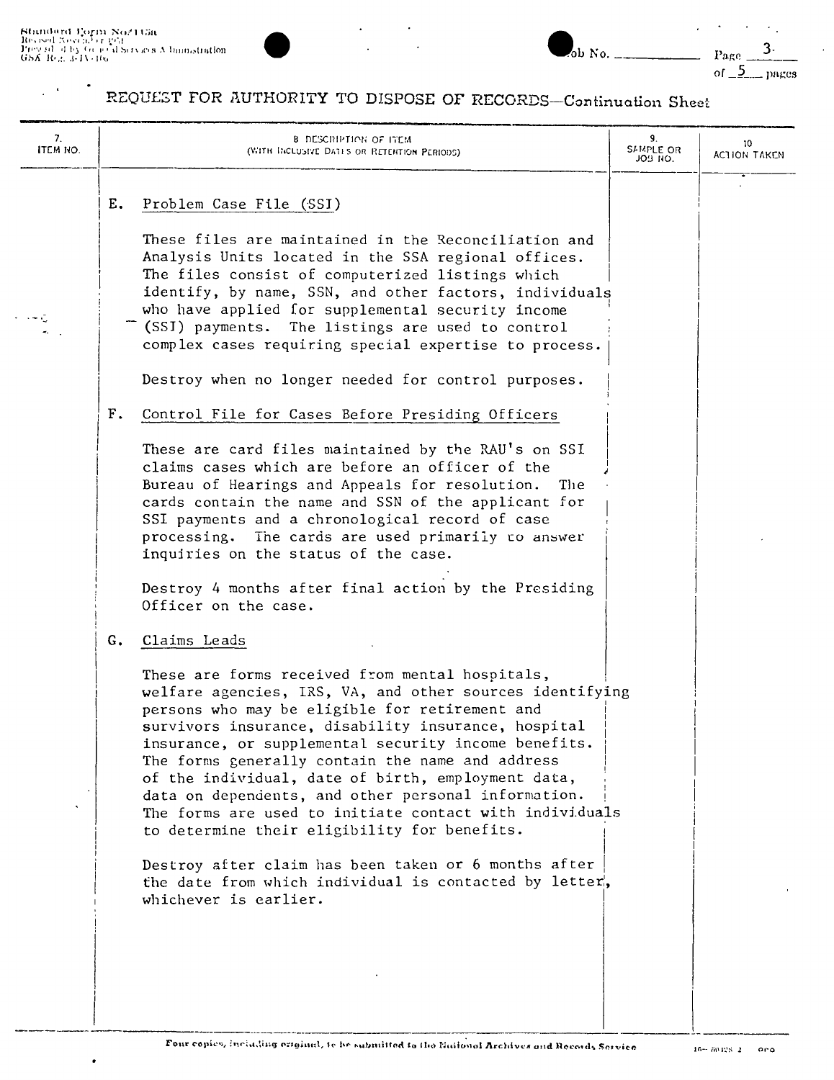$\frac{1}{2}$  ,  $\frac{1}{2}$ 

 $\bullet$ 

I

 $\bullet$ 



ob No. Page of  $5$ 

 $\langle \cdot \rangle_{\star}$ 

 $3.$ 

pages

# REQUEST FOR AUTHORITY TO DISPOSE OF RECORDS-Continuation Sheet

| 7.<br>ITEM NO. | <b>8 DESCRIPTION OF ITEM</b><br>(WITH INCLUSIVE DATES OR RETENTION PERIODS)                                                                                                                                                                                                                                                                                                                                                                                                                                                                                                                                                                                                                                               | 9.<br>SAMPLE OR<br>JOB NO. | 10.<br>ACTION TAKEN |
|----------------|---------------------------------------------------------------------------------------------------------------------------------------------------------------------------------------------------------------------------------------------------------------------------------------------------------------------------------------------------------------------------------------------------------------------------------------------------------------------------------------------------------------------------------------------------------------------------------------------------------------------------------------------------------------------------------------------------------------------------|----------------------------|---------------------|
|                | Problem Case File (SSI)<br>Е.<br>These files are maintained in the Reconciliation and<br>Analysis Units located in the SSA regional offices.<br>The files consist of computerized listings which<br>identify, by name, SSN, and other factors, individuals<br>who have applied for supplemental security income<br>(SSI) payments. The listings are used to control<br>complex cases requiring special expertise to process.<br>Destroy when no longer needed for control purposes.                                                                                                                                                                                                                                       |                            |                     |
|                | $F_{\bullet}$<br>Control File for Cases Before Presiding Officers<br>These are card files maintained by the RAU's on SSI<br>claims cases which are before an officer of the<br>Bureau of Hearings and Appeals for resolution.<br>The<br>cards contain the name and SSN of the applicant for<br>SSI payments and a chronological record of case<br>processing. The cards are used primarily to answer<br>inquiries on the status of the case.<br>Destroy 4 months after final action by the Presiding<br>Officer on the case.                                                                                                                                                                                              |                            |                     |
|                | G.<br>Claims Leads<br>These are forms received from mental hospitals,<br>welfare agencies, IRS, VA, and other sources identifying<br>persons who may be eligible for retirement and<br>survivors insurance, disability insurance, hospital<br>insurance, or supplemental security income benefits.<br>The forms generally contain the name and address<br>of the individual, date of birth, employment data,<br>data on dependents, and other personal information.<br>The forms are used to initiate contact with individuals<br>to determine their eligibility for benefits.<br>Destroy after claim has been taken or 6 months after<br>the date from which individual is contacted by letter,<br>whichever is earlier. |                            |                     |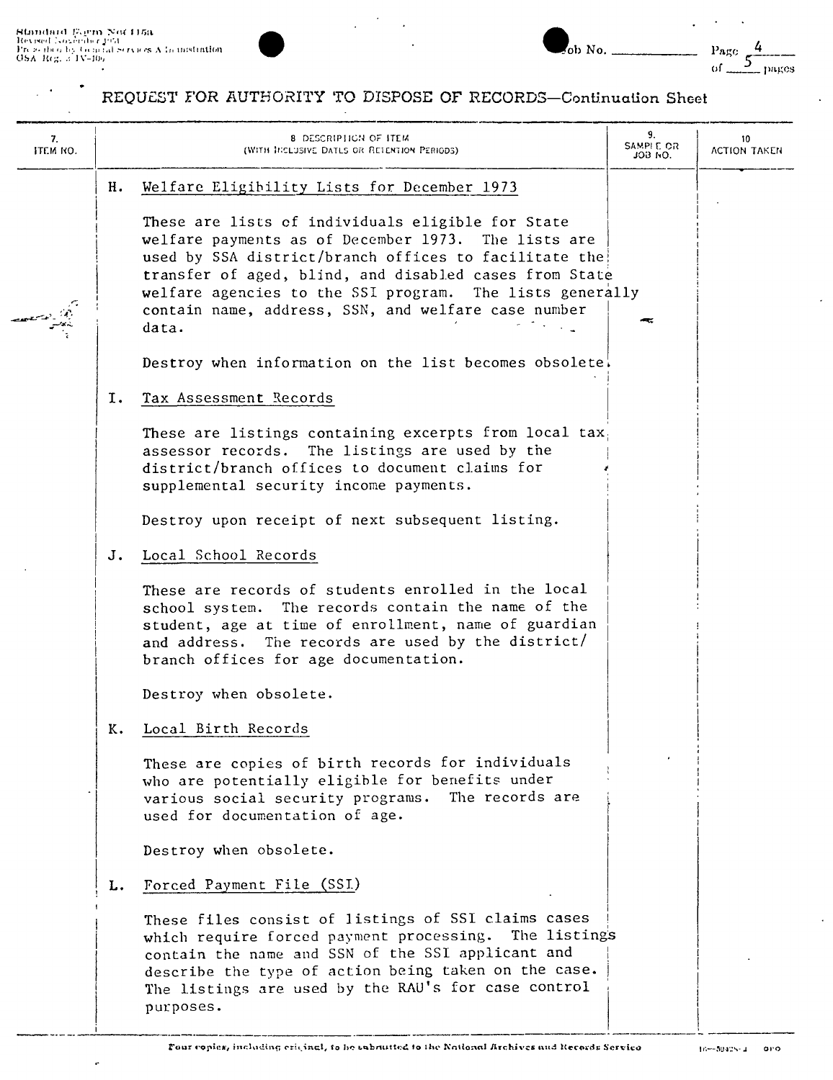$\ddot{\phantom{0}}$ 

j

 $\hat{\mathbf{r}}$ 

 $\ddot{\phantom{a}}$ 

l,



| $\sim$ ob No. | Page<br>$\frac{1}{2}$ pages |
|---------------|-----------------------------|
|---------------|-----------------------------|

## REQUEST FOR AUTHORITY TO DISPOSE OF RECORDS-Continuation Sheet

 $\overline{a}$ 

| 7.<br>ITEM NO. |    | <b>8 DESCRIPHIGN OF ITEM</b><br>(WITH INCLUSIVE DATLS OR RETENTION PERIODS)                                                                                                                                                                                                                                                                             | 9.<br>SAMPI E OR<br>JOB NO. | 10<br>ACTION TAKEN |
|----------------|----|---------------------------------------------------------------------------------------------------------------------------------------------------------------------------------------------------------------------------------------------------------------------------------------------------------------------------------------------------------|-----------------------------|--------------------|
|                | н. | Welfare Eligibility Lists for December 1973                                                                                                                                                                                                                                                                                                             |                             |                    |
|                |    | These are lists of individuals eligible for State<br>welfare payments as of December 1973. The lists are<br>used by SSA district/branch offices to facilitate the<br>transfer of aged, blind, and disabled cases from State<br>welfare agencies to the SSI program. The lists generally<br>contain name, address, SSN, and welfare case number<br>data. |                             |                    |
|                |    | Destroy when information on the list becomes obsolete.                                                                                                                                                                                                                                                                                                  |                             |                    |
|                | I. | Tax Assessment Records                                                                                                                                                                                                                                                                                                                                  |                             |                    |
|                |    | These are listings containing excerpts from local tax<br>assessor records. The listings are used by the<br>district/branch offices to document claims for<br>supplemental security income payments.                                                                                                                                                     |                             |                    |
|                |    | Destroy upon receipt of next subsequent listing.                                                                                                                                                                                                                                                                                                        |                             |                    |
|                | J. | Local School Records                                                                                                                                                                                                                                                                                                                                    |                             |                    |
|                |    | These are records of students enrolled in the local<br>school system. The records contain the name of the<br>student, age at time of enrollment, name of guardian<br>and address. The records are used by the district/<br>branch offices for age documentation.                                                                                        |                             |                    |
|                |    | Destroy when obsolete.                                                                                                                                                                                                                                                                                                                                  |                             |                    |
|                | ĸ. | Local Birth Records                                                                                                                                                                                                                                                                                                                                     |                             |                    |
|                |    | These are copies of birth records for individuals<br>who are potentially eligible for benefits under<br>The records are<br>various social security programs.<br>used for documentation of age.                                                                                                                                                          |                             |                    |
|                |    | Destroy when obsolete.                                                                                                                                                                                                                                                                                                                                  |                             |                    |
|                | L. | Forced Payment File (SSI)                                                                                                                                                                                                                                                                                                                               |                             |                    |
|                |    | These files consist of listings of SSI claims cases<br>which require forced payment processing. The listings<br>contain the name and SSN of the SSI applicant and<br>describe the type of action being taken on the case.<br>The listings are used by the RAU's for case control<br>purposes.                                                           |                             |                    |